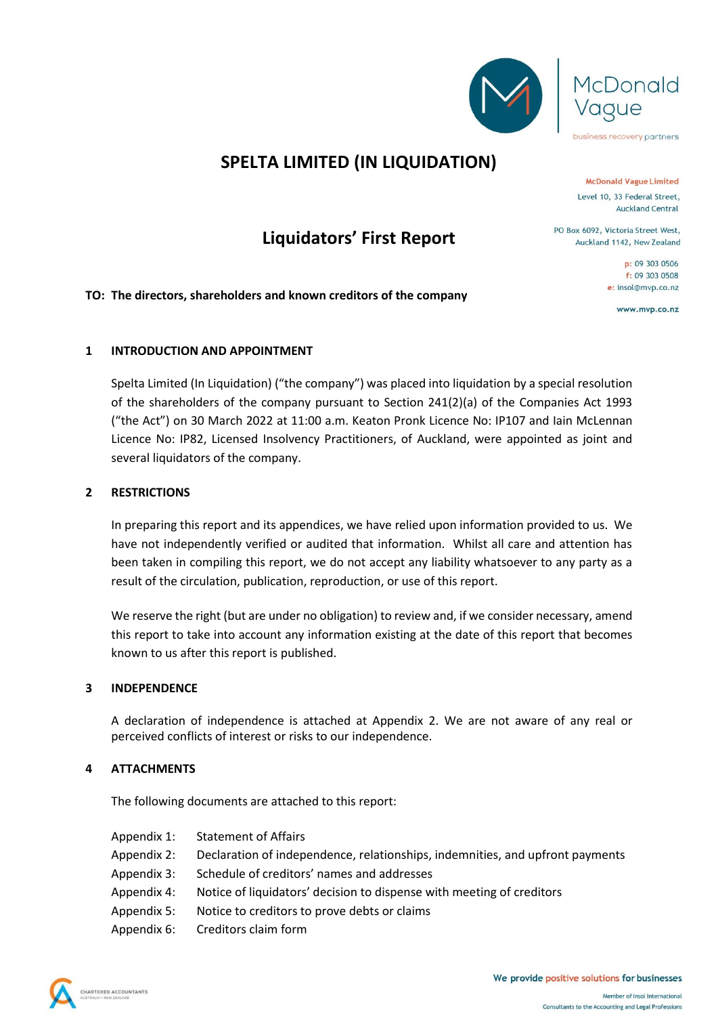



business recovery partners

### **SPELTA LIMITED (IN LIQUIDATION)**

**Liquidators' First Report**

**McDonald Vague Limited** Level 10, 33 Federal Street, **Auckland Central** 

PO Box 6092, Victoria Street West, Auckland 1142, New Zealand

> p: 09 303 0506  $f: 09, 303, 0508$ e: insol@mvp.co.nz

> > www.mvp.co.nz

#### **TO: The directors, shareholders and known creditors of the company**

#### **1 INTRODUCTION AND APPOINTMENT**

Spelta Limited (In Liquidation) ("the company") was placed into liquidation by a special resolution of the shareholders of the company pursuant to Section 241(2)(a) of the Companies Act 1993 ("the Act") on 30 March 2022 at 11:00 a.m. Keaton Pronk Licence No: IP107 and Iain McLennan Licence No: IP82, Licensed Insolvency Practitioners, of Auckland, were appointed as joint and several liquidators of the company.

#### **2 RESTRICTIONS**

In preparing this report and its appendices, we have relied upon information provided to us. We have not independently verified or audited that information. Whilst all care and attention has been taken in compiling this report, we do not accept any liability whatsoever to any party as a result of the circulation, publication, reproduction, or use of this report.

We reserve the right (but are under no obligation) to review and, if we consider necessary, amend this report to take into account any information existing at the date of this report that becomes known to us after this report is published.

#### **3 INDEPENDENCE**

A declaration of independence is attached at Appendix 2. We are not aware of any real or perceived conflicts of interest or risks to our independence.

#### **4 ATTACHMENTS**

The following documents are attached to this report:

- Appendix 1: Statement of Affairs
- Appendix 2: Declaration of independence, relationships, indemnities, and upfront payments
- Appendix 3: Schedule of creditors' names and addresses
- Appendix 4: Notice of liquidators' decision to dispense with meeting of creditors
- Appendix 5: Notice to creditors to prove debts or claims
- Appendix 6: Creditors claim form

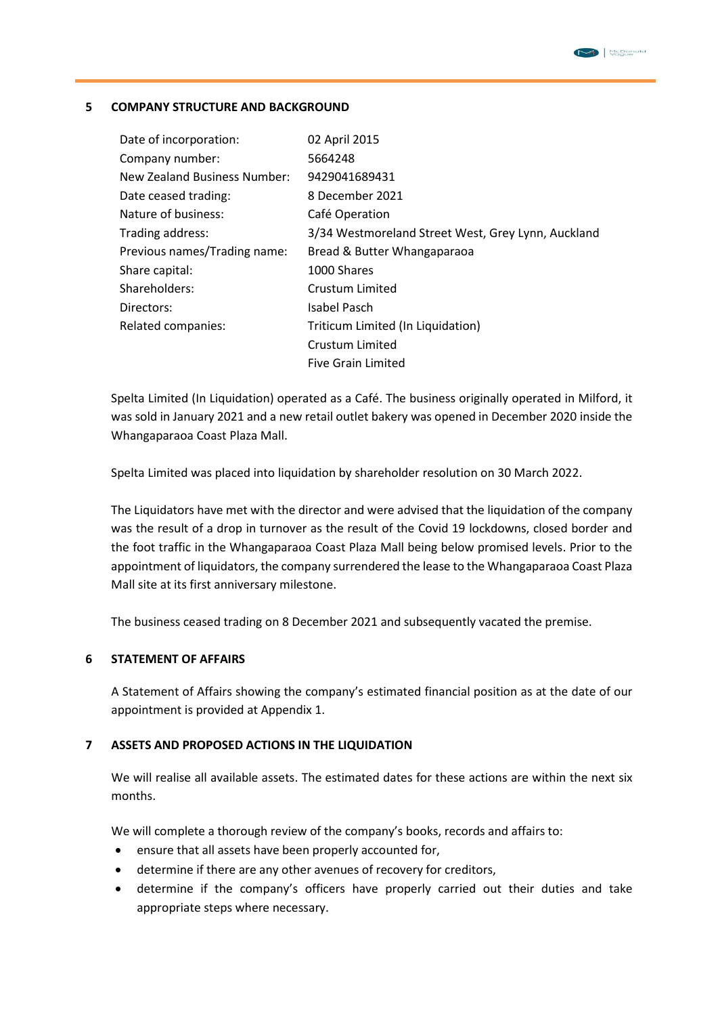#### **5 COMPANY STRUCTURE AND BACKGROUND**

| Date of incorporation:       | 02 April 2015                                      |
|------------------------------|----------------------------------------------------|
| Company number:              | 5664248                                            |
| New Zealand Business Number: | 9429041689431                                      |
| Date ceased trading:         | 8 December 2021                                    |
| Nature of business:          | Café Operation                                     |
| Trading address:             | 3/34 Westmoreland Street West, Grey Lynn, Auckland |
| Previous names/Trading name: | Bread & Butter Whangaparaoa                        |
| Share capital:               | 1000 Shares                                        |
| Shareholders:                | Crustum Limited                                    |
| Directors:                   | Isabel Pasch                                       |
| Related companies:           | Triticum Limited (In Liquidation)                  |
|                              | Crustum Limited                                    |
|                              | <b>Five Grain Limited</b>                          |

Spelta Limited (In Liquidation) operated as a Café. The business originally operated in Milford, it was sold in January 2021 and a new retail outlet bakery was opened in December 2020 inside the Whangaparaoa Coast Plaza Mall.

Spelta Limited was placed into liquidation by shareholder resolution on 30 March 2022.

The Liquidators have met with the director and were advised that the liquidation of the company was the result of a drop in turnover as the result of the Covid 19 lockdowns, closed border and the foot traffic in the Whangaparaoa Coast Plaza Mall being below promised levels. Prior to the appointment of liquidators, the company surrendered the lease to the Whangaparaoa Coast Plaza Mall site at its first anniversary milestone.

The business ceased trading on 8 December 2021 and subsequently vacated the premise.

#### **6 STATEMENT OF AFFAIRS**

A Statement of Affairs showing the company's estimated financial position as at the date of our appointment is provided at Appendix 1.

#### **7 ASSETS AND PROPOSED ACTIONS IN THE LIQUIDATION**

We will realise all available assets. The estimated dates for these actions are within the next six months.

We will complete a thorough review of the company's books, records and affairs to:

- ensure that all assets have been properly accounted for,
- determine if there are any other avenues of recovery for creditors,
- determine if the company's officers have properly carried out their duties and take appropriate steps where necessary.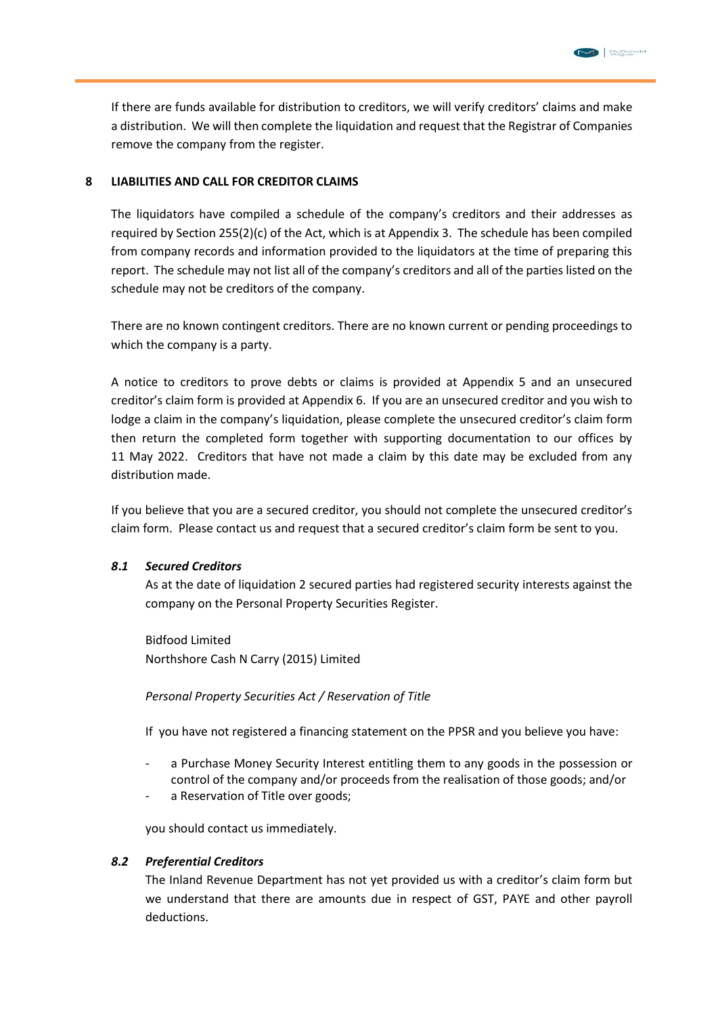If there are funds available for distribution to creditors, we will verify creditors' claims and make a distribution. We will then complete the liquidation and request that the Registrar of Companies remove the company from the register.

#### **8 LIABILITIES AND CALL FOR CREDITOR CLAIMS**

The liquidators have compiled a schedule of the company's creditors and their addresses as required by Section 255(2)(c) of the Act, which is at Appendix 3. The schedule has been compiled from company records and information provided to the liquidators at the time of preparing this report. The schedule may not list all of the company's creditors and all of the parties listed on the schedule may not be creditors of the company.

There are no known contingent creditors. There are no known current or pending proceedings to which the company is a party.

A notice to creditors to prove debts or claims is provided at Appendix 5 and an unsecured creditor's claim form is provided at Appendix 6. If you are an unsecured creditor and you wish to lodge a claim in the company's liquidation, please complete the unsecured creditor's claim form then return the completed form together with supporting documentation to our offices by 11 May 2022. Creditors that have not made a claim by this date may be excluded from any distribution made.

If you believe that you are a secured creditor, you should not complete the unsecured creditor's claim form. Please contact us and request that a secured creditor's claim form be sent to you.

#### *8***.***1 Secured Creditors*

As at the date of liquidation 2 secured parties had registered security interests against the company on the Personal Property Securities Register.

Bidfood Limited Northshore Cash N Carry (2015) Limited

*Personal Property Securities Act / Reservation of Title*

If you have not registered a financing statement on the PPSR and you believe you have:

- a Purchase Money Security Interest entitling them to any goods in the possession or control of the company and/or proceeds from the realisation of those goods; and/or
- a Reservation of Title over goods;

you should contact us immediately.

#### *8.2 Preferential Creditors*

The Inland Revenue Department has not yet provided us with a creditor's claim form but we understand that there are amounts due in respect of GST, PAYE and other payroll deductions.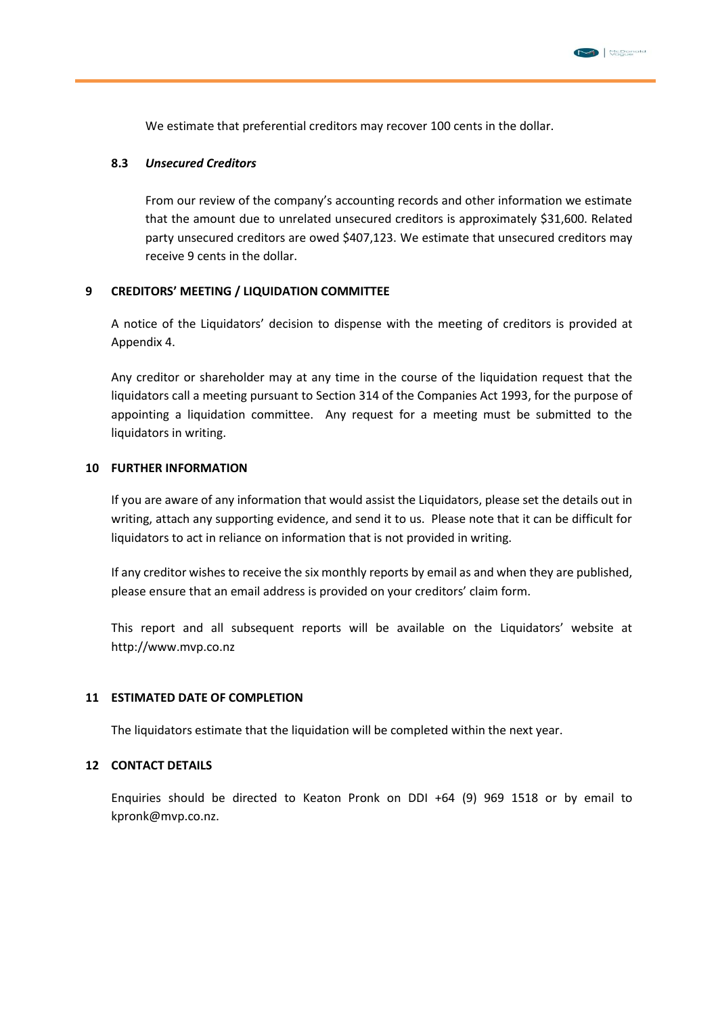

We estimate that preferential creditors may recover 100 cents in the dollar.

#### **8.3** *Unsecured Creditors*

From our review of the company's accounting records and other information we estimate that the amount due to unrelated unsecured creditors is approximately \$31,600. Related party unsecured creditors are owed \$407,123. We estimate that unsecured creditors may receive 9 cents in the dollar.

#### **9 CREDITORS' MEETING / LIQUIDATION COMMITTEE**

A notice of the Liquidators' decision to dispense with the meeting of creditors is provided at Appendix 4.

Any creditor or shareholder may at any time in the course of the liquidation request that the liquidators call a meeting pursuant to Section 314 of the Companies Act 1993, for the purpose of appointing a liquidation committee. Any request for a meeting must be submitted to the liquidators in writing.

#### **10 FURTHER INFORMATION**

If you are aware of any information that would assist the Liquidators, please set the details out in writing, attach any supporting evidence, and send it to us. Please note that it can be difficult for liquidators to act in reliance on information that is not provided in writing.

If any creditor wishes to receive the six monthly reports by email as and when they are published, please ensure that an email address is provided on your creditors' claim form.

This report and all subsequent reports will be available on the Liquidators' website at http://www.mvp.co.nz

#### **11 ESTIMATED DATE OF COMPLETION**

The liquidators estimate that the liquidation will be completed within the next year.

#### **12 CONTACT DETAILS**

Enquiries should be directed to Keaton Pronk on DDI +64 (9) 969 1518 or by email to kpronk@mvp.co.nz.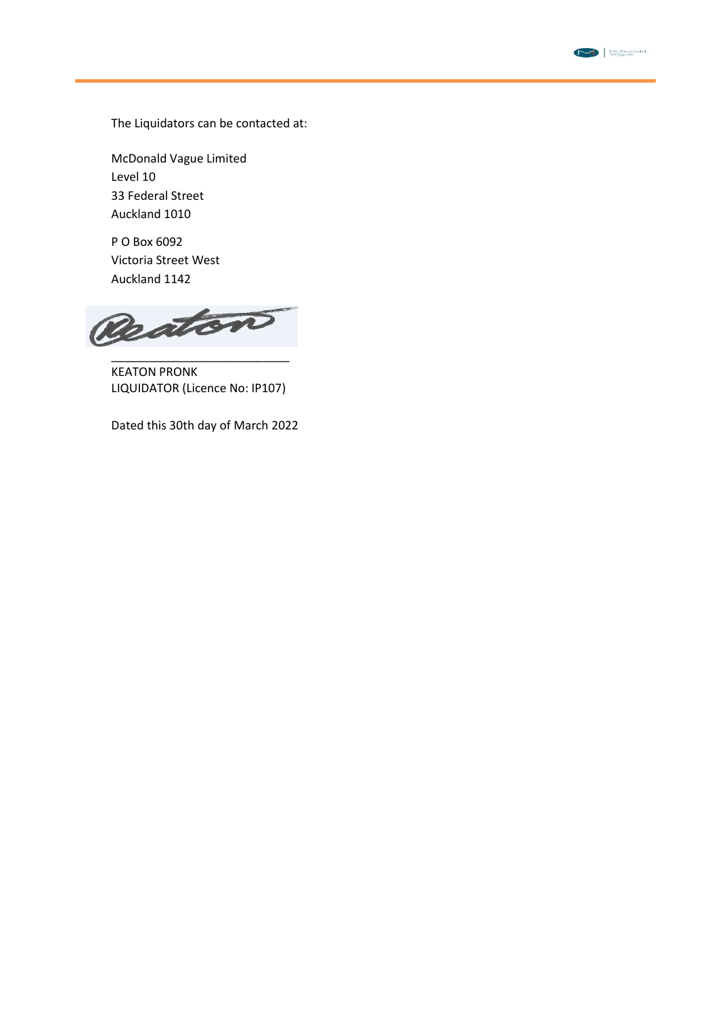

The Liquidators can be contacted at:

McDonald Vague Limited Level 10 33 Federal Street Auckland 1010

P O Box 6092 Victoria Street West Auckland 1142

Reaton \_\_\_\_\_\_\_\_\_\_\_\_\_\_\_\_\_\_\_\_\_\_\_\_\_\_\_

KEATON PRONK LIQUIDATOR (Licence No: IP107)

Dated this 30th day of March 2022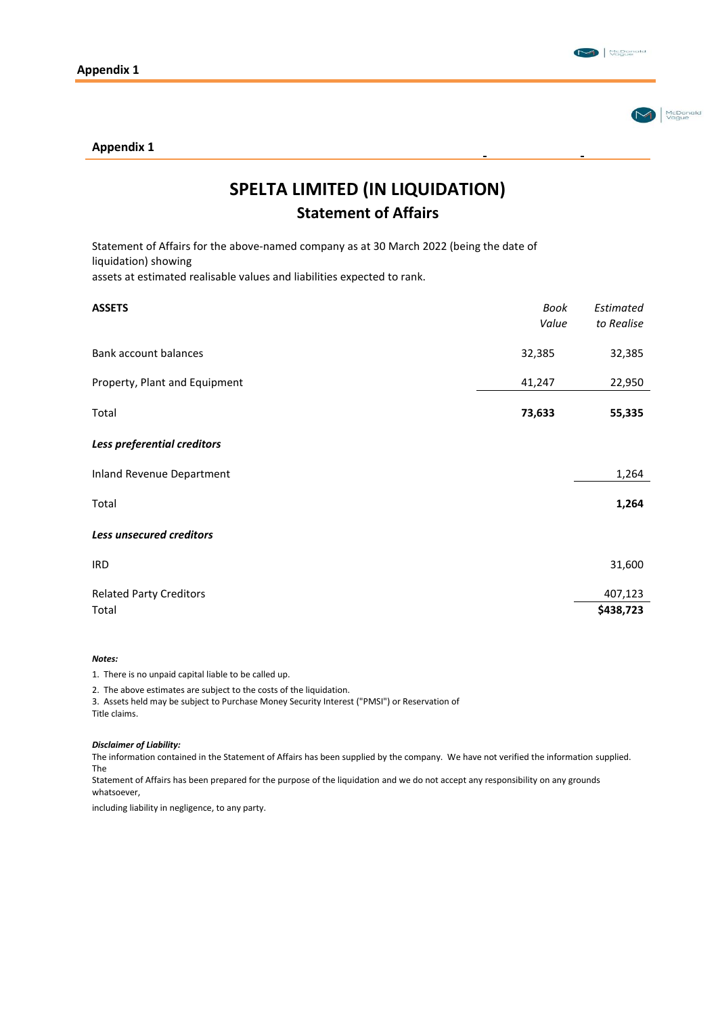McDonald



#### **Appendix 1**

# **SPELTA LIMITED (IN LIQUIDATION) Statement of Affairs**

Statement of Affairs for the above-named company as at 30 March 2022 (being the date of liquidation) showing

assets at estimated realisable values and liabilities expected to rank.

| <b>ASSETS</b>                  | Book<br>Value | Estimated<br>to Realise |
|--------------------------------|---------------|-------------------------|
| Bank account balances          | 32,385        | 32,385                  |
| Property, Plant and Equipment  | 41,247        | 22,950                  |
| Total                          | 73,633        | 55,335                  |
| Less preferential creditors    |               |                         |
| Inland Revenue Department      |               | 1,264                   |
| Total                          |               | 1,264                   |
| Less unsecured creditors       |               |                         |
| <b>IRD</b>                     |               | 31,600                  |
| <b>Related Party Creditors</b> |               | 407,123                 |
| Total                          |               | \$438,723               |

#### *Notes:*

1. There is no unpaid capital liable to be called up.

2. The above estimates are subject to the costs of the liquidation.

3. Assets held may be subject to Purchase Money Security Interest ("PMSI") or Reservation of Title claims.

#### *Disclaimer of Liability:*

The information contained in the Statement of Affairs has been supplied by the company. We have not verified the information supplied. The

Statement of Affairs has been prepared for the purpose of the liquidation and we do not accept any responsibility on any grounds whatsoever,

including liability in negligence, to any party.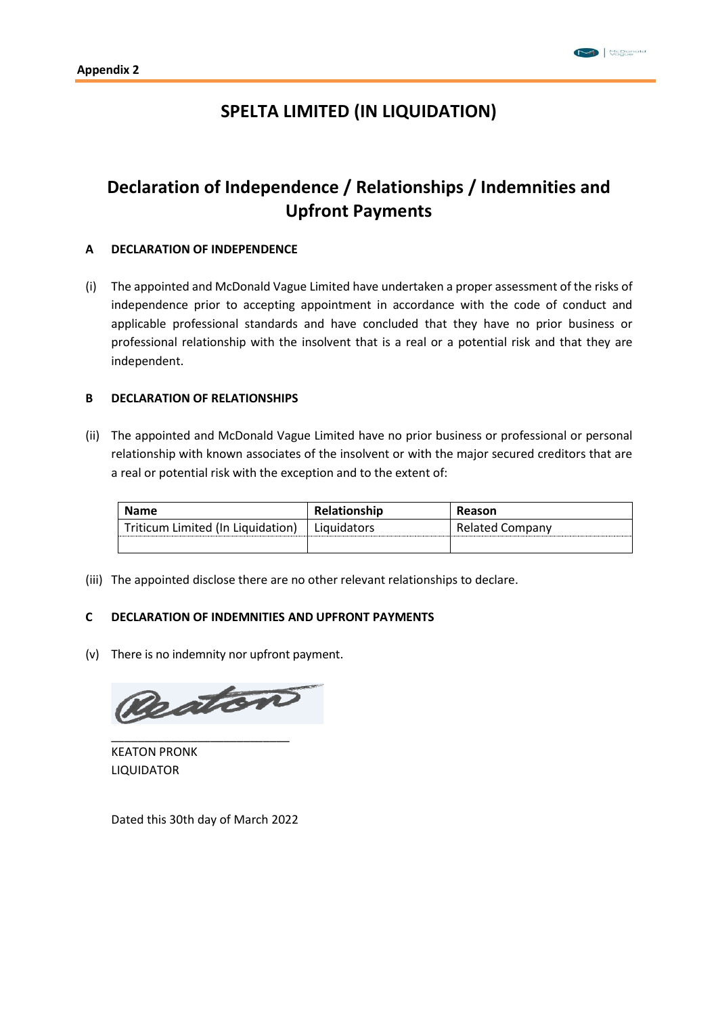### **SPELTA LIMITED (IN LIQUIDATION)**

## **Declaration of Independence / Relationships / Indemnities and Upfront Payments**

#### **A DECLARATION OF INDEPENDENCE**

(i) The appointed and McDonald Vague Limited have undertaken a proper assessment of the risks of independence prior to accepting appointment in accordance with the code of conduct and applicable professional standards and have concluded that they have no prior business or professional relationship with the insolvent that is a real or a potential risk and that they are independent.

#### **B DECLARATION OF RELATIONSHIPS**

(ii) The appointed and McDonald Vague Limited have no prior business or professional or personal relationship with known associates of the insolvent or with the major secured creditors that are a real or potential risk with the exception and to the extent of:

| <b>Name</b>                       | <b>Relationship</b> | Reason                 |
|-----------------------------------|---------------------|------------------------|
| Triticum Limited (In Liquidation) | Liquidators         | <b>Related Company</b> |
|                                   |                     |                        |

(iii) The appointed disclose there are no other relevant relationships to declare.

#### **C DECLARATION OF INDEMNITIES AND UPFRONT PAYMENTS**

(v) There is no indemnity nor upfront payment.



\_\_\_\_\_\_\_\_\_\_\_\_\_\_\_\_\_\_\_\_\_\_\_\_\_\_\_ KEATON PRONK LIQUIDATOR

Dated this 30th day of March 2022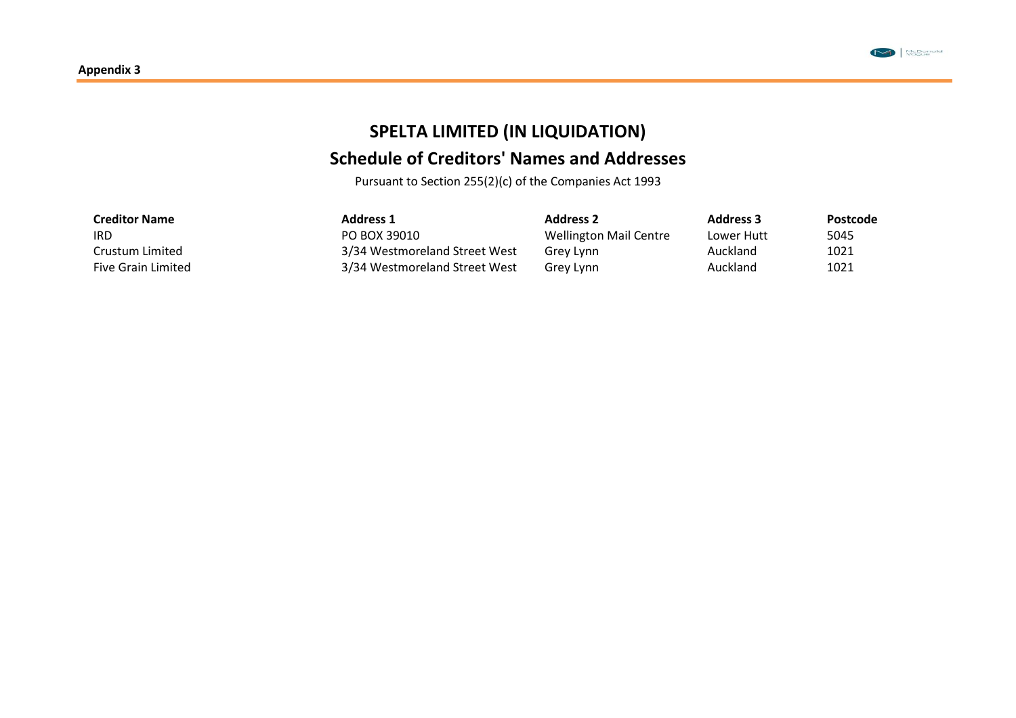

# **SPELTA LIMITED (IN LIQUIDATION)**

# **Schedule of Creditors' Names and Addresses**

Pursuant to Section 255(2)(c) of the Companies Act 1993

| <b>Creditor Name</b>      | <b>Address 1</b>              | <b>Address 2</b>       | <b>Address 3</b> | Postcode |
|---------------------------|-------------------------------|------------------------|------------------|----------|
| IRD                       | PO BOX 39010                  | Wellington Mail Centre | Lower Hutt       | 5045     |
| Crustum Limited           | 3/34 Westmoreland Street West | Grev Lynn              | Auckland         | 1021     |
| <b>Five Grain Limited</b> | 3/34 Westmoreland Street West | Grey Lynn              | Auckland         | 1021     |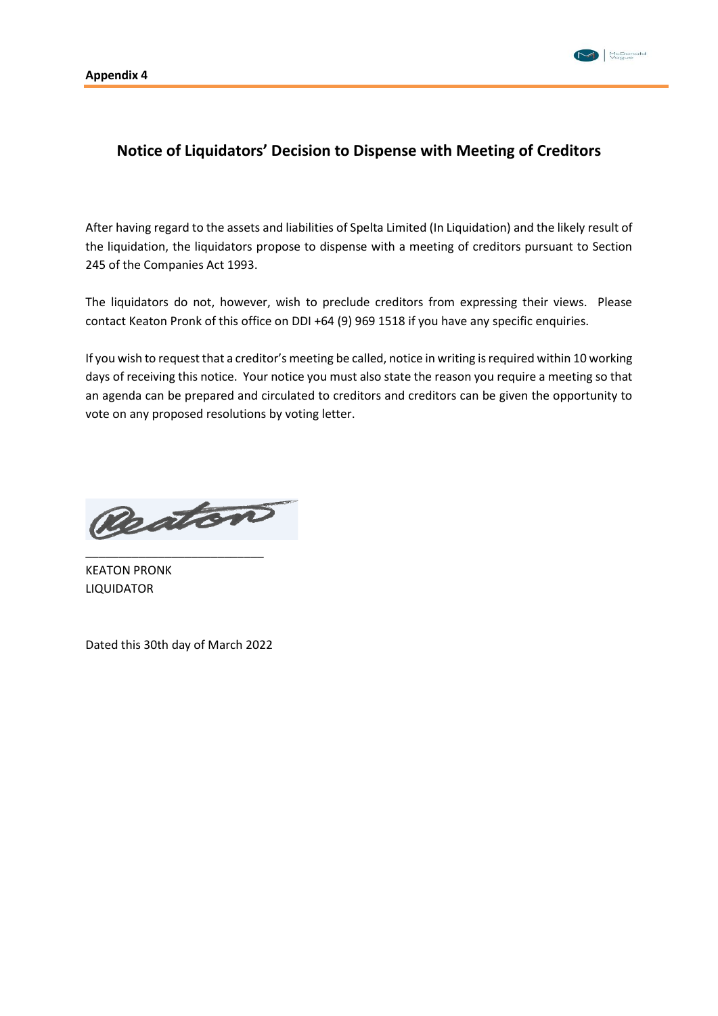

### **Notice of Liquidators' Decision to Dispense with Meeting of Creditors**

After having regard to the assets and liabilities of Spelta Limited (In Liquidation) and the likely result of the liquidation, the liquidators propose to dispense with a meeting of creditors pursuant to Section 245 of the Companies Act 1993.

The liquidators do not, however, wish to preclude creditors from expressing their views. Please contact Keaton Pronk of this office on DDI +64 (9) 969 1518 if you have any specific enquiries.

If you wish to request that a creditor's meeting be called, notice in writing is required within 10 working days of receiving this notice. Your notice you must also state the reason you require a meeting so that an agenda can be prepared and circulated to creditors and creditors can be given the opportunity to vote on any proposed resolutions by voting letter.

Reaton

KEATON PRONK LIQUIDATOR

Dated this 30th day of March 2022

\_\_\_\_\_\_\_\_\_\_\_\_\_\_\_\_\_\_\_\_\_\_\_\_\_\_\_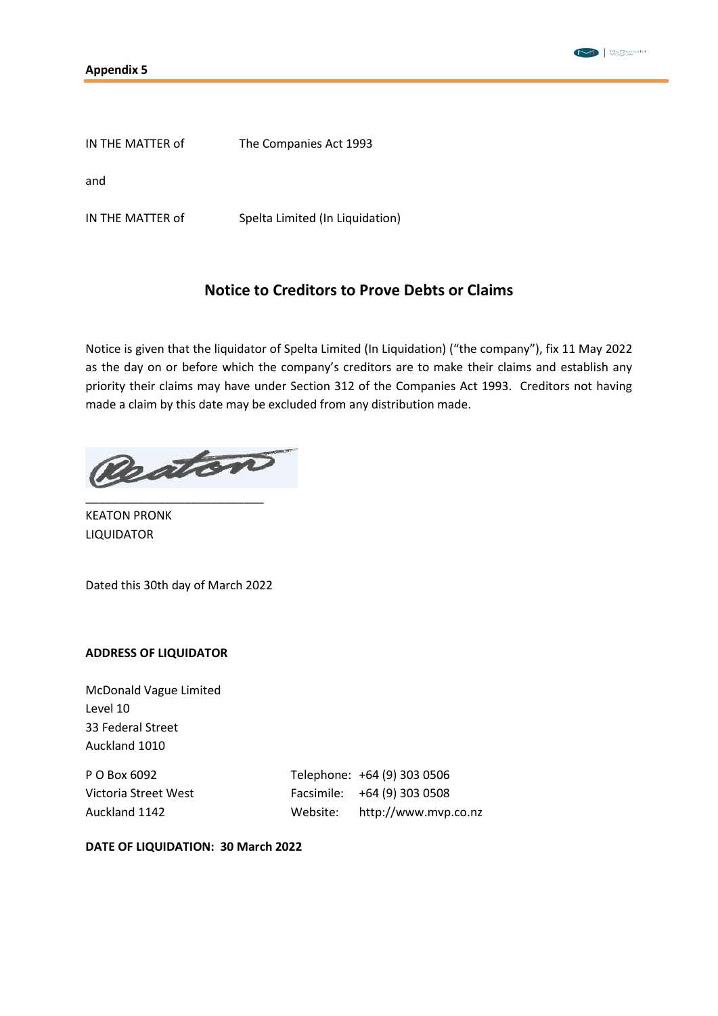

IN THE MATTER of The Companies Act 1993

and

IN THE MATTER of Spelta Limited (In Liquidation)

### **Notice to Creditors to Prove Debts or Claims**

Notice is given that the liquidator of Spelta Limited (In Liquidation) ("the company"), fix 11 May 2022 as the day on or before which the company's creditors are to make their claims and establish any priority their claims may have under Section 312 of the Companies Act 1993. Creditors not having made a claim by this date may be excluded from any distribution made.

Reaton

KEATON PRONK LIQUIDATOR

Dated this 30th day of March 2022

\_\_\_\_\_\_\_\_\_\_\_\_\_\_\_\_\_\_\_\_\_\_\_\_\_\_\_

#### **ADDRESS OF LIQUIDATOR**

McDonald Vague Limited Level 10 33 Federal Street Auckland 1010

P O Box 6092 Telephone: +64 (9) 303 0506 Victoria Street West Facsimile: +64 (9) 303 0508 Auckland 1142 Website: http://www.mvp.co.nz

**DATE OF LIQUIDATION: 30 March 2022**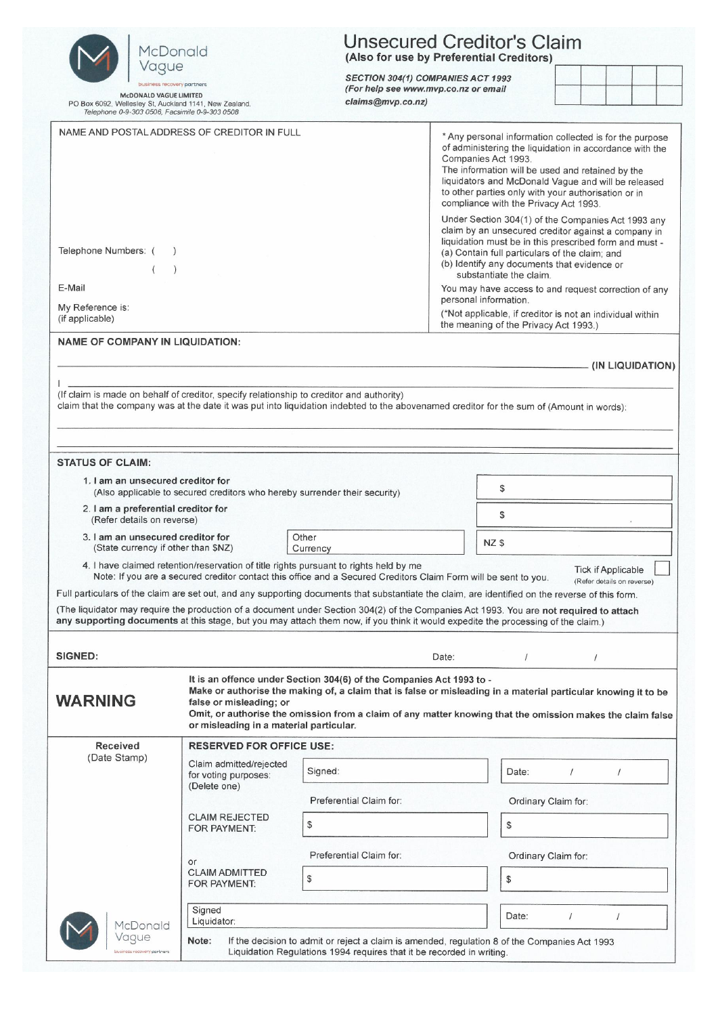| McDonald                                                                                                                                  | <b>Unsecured Creditor's Claim</b><br>(Also for use by Preferential Creditors) |                                                                                                                                                                                                                                                                                                      |                                                                                                                                                                                                                                                                                                                                                                                                                                               |                     |                                                         |                  |
|-------------------------------------------------------------------------------------------------------------------------------------------|-------------------------------------------------------------------------------|------------------------------------------------------------------------------------------------------------------------------------------------------------------------------------------------------------------------------------------------------------------------------------------------------|-----------------------------------------------------------------------------------------------------------------------------------------------------------------------------------------------------------------------------------------------------------------------------------------------------------------------------------------------------------------------------------------------------------------------------------------------|---------------------|---------------------------------------------------------|------------------|
| Vague<br>business recovery partners                                                                                                       |                                                                               | SECTION 304(1) COMPANIES ACT 1993<br>(For help see www.mvp.co.nz or email                                                                                                                                                                                                                            |                                                                                                                                                                                                                                                                                                                                                                                                                                               |                     |                                                         |                  |
| <b>McDONALD VAGUE LIMITED</b><br>PO Box 6092, Wellesley St, Auckland 1141, New Zealand.<br>Telephone 0-9-303 0506, Facsimile 0-9-303 0508 |                                                                               | claims@mvp.co.nz)                                                                                                                                                                                                                                                                                    |                                                                                                                                                                                                                                                                                                                                                                                                                                               |                     |                                                         |                  |
| NAME AND POSTAL ADDRESS OF CREDITOR IN FULL                                                                                               |                                                                               |                                                                                                                                                                                                                                                                                                      | * Any personal information collected is for the purpose<br>of administering the liquidation in accordance with the<br>Companies Act 1993.<br>The information will be used and retained by the<br>liquidators and McDonald Vague and will be released<br>to other parties only with your authorisation or in<br>compliance with the Privacy Act 1993.                                                                                          |                     |                                                         |                  |
| Telephone Numbers: (<br>E-Mail<br>My Reference is:<br>(if applicable)                                                                     |                                                                               |                                                                                                                                                                                                                                                                                                      | Under Section 304(1) of the Companies Act 1993 any<br>claim by an unsecured creditor against a company in<br>liquidation must be in this prescribed form and must -<br>(a) Contain full particulars of the claim; and<br>(b) Identify any documents that evidence or<br>substantiate the claim.<br>You may have access to and request correction of any<br>personal information.<br>(*Not applicable, if creditor is not an individual within |                     |                                                         |                  |
| <b>NAME OF COMPANY IN LIQUIDATION:</b>                                                                                                    |                                                                               |                                                                                                                                                                                                                                                                                                      | the meaning of the Privacy Act 1993.)                                                                                                                                                                                                                                                                                                                                                                                                         |                     |                                                         |                  |
|                                                                                                                                           |                                                                               |                                                                                                                                                                                                                                                                                                      |                                                                                                                                                                                                                                                                                                                                                                                                                                               |                     |                                                         | (IN LIQUIDATION) |
| (If claim is made on behalf of creditor, specify relationship to creditor and authority)                                                  |                                                                               | claim that the company was at the date it was put into liquidation indebted to the abovenamed creditor for the sum of (Amount in words):                                                                                                                                                             |                                                                                                                                                                                                                                                                                                                                                                                                                                               |                     |                                                         |                  |
|                                                                                                                                           |                                                                               |                                                                                                                                                                                                                                                                                                      |                                                                                                                                                                                                                                                                                                                                                                                                                                               |                     |                                                         |                  |
| <b>STATUS OF CLAIM:</b><br>1. I am an unsecured creditor for                                                                              |                                                                               |                                                                                                                                                                                                                                                                                                      |                                                                                                                                                                                                                                                                                                                                                                                                                                               |                     |                                                         |                  |
|                                                                                                                                           | (Also applicable to secured creditors who hereby surrender their security)    |                                                                                                                                                                                                                                                                                                      | \$                                                                                                                                                                                                                                                                                                                                                                                                                                            |                     |                                                         |                  |
| 2. I am a preferential creditor for<br>(Refer details on reverse)                                                                         |                                                                               |                                                                                                                                                                                                                                                                                                      | \$                                                                                                                                                                                                                                                                                                                                                                                                                                            |                     |                                                         |                  |
| 3. I am an unsecured creditor for<br>(State currency if other than \$NZ)                                                                  |                                                                               | Other<br>Currency                                                                                                                                                                                                                                                                                    | NZ \$                                                                                                                                                                                                                                                                                                                                                                                                                                         |                     |                                                         |                  |
|                                                                                                                                           |                                                                               | 4. I have claimed retention/reservation of title rights pursuant to rights held by me<br>Note: If you are a secured creditor contact this office and a Secured Creditors Claim Form will be sent to you.                                                                                             |                                                                                                                                                                                                                                                                                                                                                                                                                                               |                     | <b>Tick if Applicable</b><br>(Refer details on reverse) |                  |
|                                                                                                                                           |                                                                               | Full particulars of the claim are set out, and any supporting documents that substantiate the claim, are identified on the reverse of this form.                                                                                                                                                     |                                                                                                                                                                                                                                                                                                                                                                                                                                               |                     |                                                         |                  |
|                                                                                                                                           |                                                                               | (The liquidator may require the production of a document under Section 304(2) of the Companies Act 1993. You are not required to attach<br>any supporting documents at this stage, but you may attach them now, if you think it would expedite the processing of the claim.)                         |                                                                                                                                                                                                                                                                                                                                                                                                                                               |                     |                                                         |                  |
|                                                                                                                                           |                                                                               |                                                                                                                                                                                                                                                                                                      |                                                                                                                                                                                                                                                                                                                                                                                                                                               |                     |                                                         |                  |
| <b>SIGNED:</b>                                                                                                                            |                                                                               |                                                                                                                                                                                                                                                                                                      | Date:<br>$\prime$                                                                                                                                                                                                                                                                                                                                                                                                                             | $\prime$            |                                                         |                  |
| <b>WARNING</b>                                                                                                                            | false or misleading; or<br>or misleading in a material particular.            | It is an offence under Section 304(6) of the Companies Act 1993 to -<br>Make or authorise the making of, a claim that is false or misleading in a material particular knowing it to be<br>Omit, or authorise the omission from a claim of any matter knowing that the omission makes the claim false |                                                                                                                                                                                                                                                                                                                                                                                                                                               |                     |                                                         |                  |
| <b>Received</b><br>(Date Stamp)                                                                                                           | <b>RESERVED FOR OFFICE USE:</b>                                               |                                                                                                                                                                                                                                                                                                      |                                                                                                                                                                                                                                                                                                                                                                                                                                               |                     |                                                         |                  |
|                                                                                                                                           | Claim admitted/rejected<br>for voting purposes:<br>(Delete one)               | Signed:                                                                                                                                                                                                                                                                                              | Date:                                                                                                                                                                                                                                                                                                                                                                                                                                         |                     |                                                         |                  |
|                                                                                                                                           |                                                                               | Preferential Claim for:                                                                                                                                                                                                                                                                              |                                                                                                                                                                                                                                                                                                                                                                                                                                               | Ordinary Claim for: |                                                         |                  |
|                                                                                                                                           | <b>CLAIM REJECTED</b><br>FOR PAYMENT:                                         | \$                                                                                                                                                                                                                                                                                                   | $\mathcal{S}$                                                                                                                                                                                                                                                                                                                                                                                                                                 |                     |                                                         |                  |
|                                                                                                                                           |                                                                               | Preferential Claim for:                                                                                                                                                                                                                                                                              |                                                                                                                                                                                                                                                                                                                                                                                                                                               | Ordinary Claim for: |                                                         |                  |
|                                                                                                                                           | or<br><b>CLAIM ADMITTED</b><br>FOR PAYMENT:                                   | \$                                                                                                                                                                                                                                                                                                   | \$                                                                                                                                                                                                                                                                                                                                                                                                                                            |                     |                                                         |                  |
| McDonald                                                                                                                                  | Signed<br>Liquidator:                                                         |                                                                                                                                                                                                                                                                                                      | Date:                                                                                                                                                                                                                                                                                                                                                                                                                                         | $\prime$            |                                                         |                  |
| Vague<br>business recovery partners                                                                                                       | Note:                                                                         | If the decision to admit or reject a claim is amended, regulation 8 of the Companies Act 1993<br>Liquidation Regulations 1994 requires that it be recorded in writing.                                                                                                                               |                                                                                                                                                                                                                                                                                                                                                                                                                                               |                     |                                                         |                  |